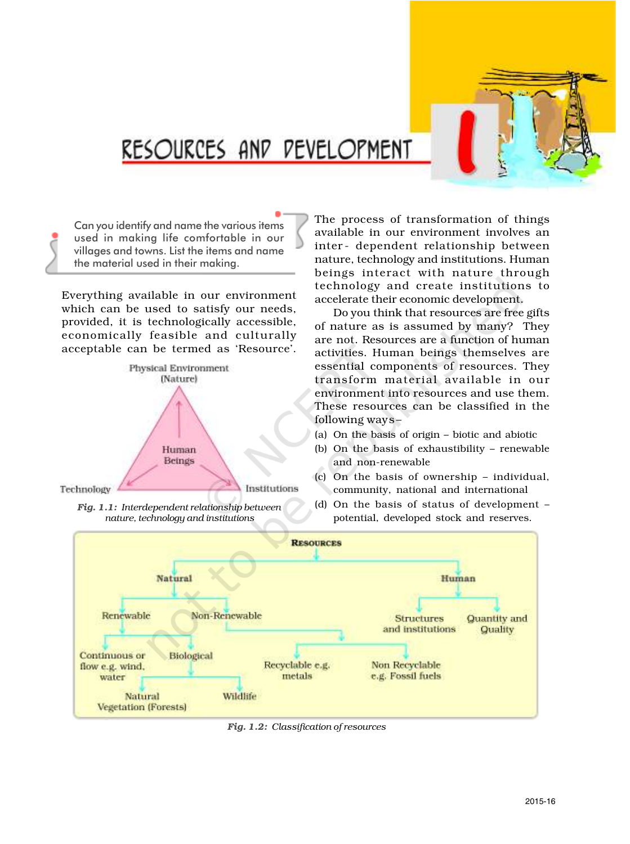# RESOURCES AND DEVELOPMENT

Can you identify and name the various items used in making life comfortable in our villages and towns. List the items and name the material used in their making.

Everything available in our environment which can be used to satisfy our needs, provided, it is technologically accessible, economically feasible and culturally acceptable can be termed as 'Resource'.



*Fig. 1.1: Interdependent relationship between nature, technology and institutions*

The process of transformation of things available in our environment involves an inter - dependent relationship between nature, technology and institutions. Human beings interact with nature through technology and create institutions to accelerate their economic development.

Do you think that resources are free gifts of nature as is assumed by many? They are not. Resources are a function of human activities. Human beings themselves are essential components of resources. They transform material available in our environment into resources and use them. These resources can be classified in the following ways –

- (a) On the basis of origin biotic and abiotic
- (b) On the basis of exhaustibility renewable and non-renewable
- (c) On the basis of ownership individual, community, national and international
- (d) On the basis of status of development potential, developed stock and reserves.



*Fig. 1.2: Classification of resources*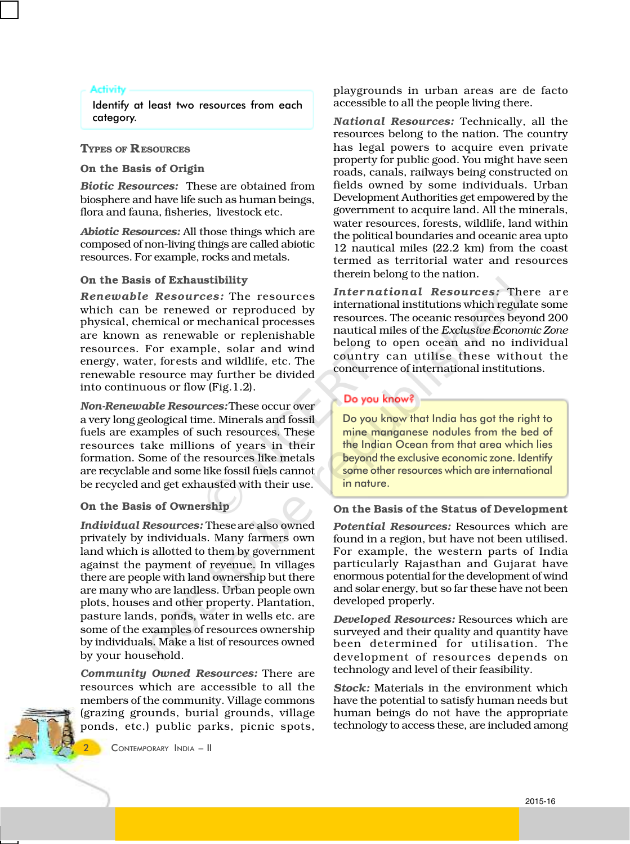#### **Activity**

Identify at least two resources from each category.

TYPES OF RESOURCES

On the Basis of Origin

*Biotic Resources:* These are obtained from biosphere and have life such as human beings, flora and fauna, fisheries, livestock etc.

*Abiotic Resources:* All those things which are composed of non-living things are called abiotic resources. For example, rocks and metals.

## On the Basis of Exhaustibility

*Renewable Resources:* The resources which can be renewed or reproduced by physical, chemical or mechanical processes are known as renewable or replenishable resources. For example, solar and wind energy, water, forests and wildlife, etc. The renewable resource may further be divided into continuous or flow (Fig.1.2).

*Non-Renewable Resources:* These occur over a very long geological time. Minerals and fossil fuels are examples of such resources. These resources take millions of years in their formation. Some of the resources like metals are recyclable and some like fossil fuels cannot be recycled and get exhausted with their use.

#### On the Basis of Ownership

*Individual Resources:* These are also owned privately by individuals. Many farmers own land which is allotted to them by government against the payment of revenue. In villages there are people with land ownership but there are many who are landless. Urban people own plots, houses and other property. Plantation, pasture lands, ponds, water in wells etc. are some of the examples of resources ownership by individuals. Make a list of resources owned by your household.

*Community Owned Resources:* There are resources which are accessible to all the members of the community. Village commons (grazing grounds, burial grounds, village ponds, etc.) public parks, picnic spots,



CONTEMPORARY INDIA - II

playgrounds in urban areas are de facto accessible to all the people living there.

*National Resources:* Technically, all the resources belong to the nation. The country has legal powers to acquire even private property for public good. You might have seen roads, canals, railways being constructed on fields owned by some individuals. Urban Development Authorities get empowered by the government to acquire land. All the minerals, water resources, forests, wildlife, land within the political boundaries and oceanic area upto 12 nautical miles (22.2 km) from the coast termed as territorial water and resources therein belong to the nation.

*International Resources:* There are international institutions which regulate some resources. The oceanic resources beyond 200 nautical miles of the *Exclusive Economic Zone* belong to open ocean and no individual country can utilise these without the concurrence of international institutions.

# Do you know?

Do you know that India has got the right to mine manganese nodules from the bed of the Indian Ocean from that area which lies beyond the exclusive economic zone. Identify some other resources which are international in nature.

#### On the Basis of the Status of Development

*Potential Resources:* Resources which are found in a region, but have not been utilised. For example, the western parts of India particularly Rajasthan and Gujarat have enormous potential for the development of wind and solar energy, but so far these have not been developed properly.

*Developed Resources:* Resources which are surveyed and their quality and quantity have been determined for utilisation. The development of resources depends on technology and level of their feasibility.

*Stock:* Materials in the environment which have the potential to satisfy human needs but human beings do not have the appropriate technology to access these, are included among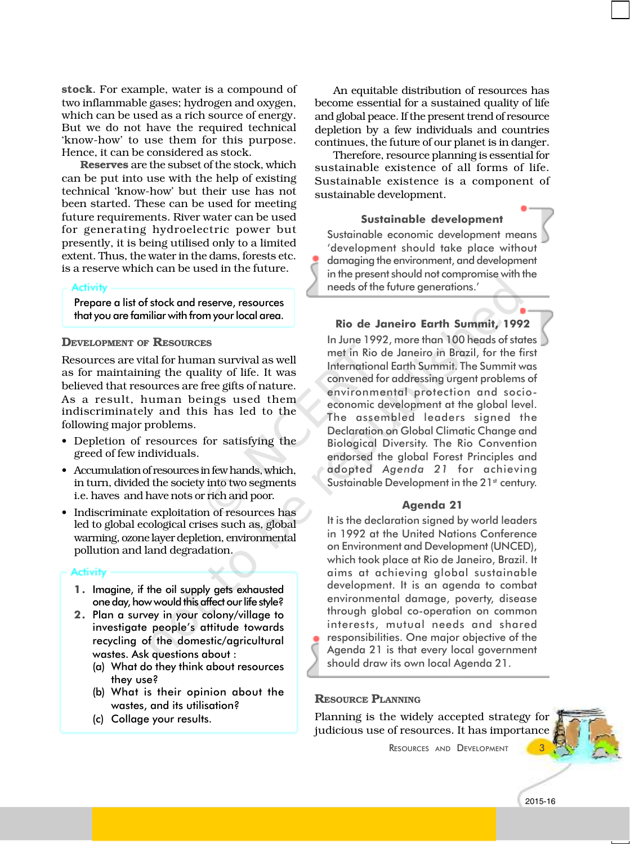stock. For example, water is a compound of two inflammable gases; hydrogen and oxygen, which can be used as a rich source of energy. But we do not have the required technical 'know-how' to use them for this purpose. Hence, it can be considered as stock.

Reserves are the subset of the stock, which can be put into use with the help of existing technical 'know-how' but their use has not been started. These can be used for meeting future requirements. River water can be used for generating hydroelectric power but presently, it is being utilised only to a limited extent. Thus, the water in the dams, forests etc. is a reserve which can be used in the future.

#### Activity

Prepare a list of stock and reserve, resources that you are familiar with from your local area.

#### DEVELOPMENT OF RESOURCES

Resources are vital for human survival as well as for maintaining the quality of life. It was believed that resources are free gifts of nature. As a result, human beings used them indiscriminately and this has led to the following major problems.

- Depletion of resources for satisfying the greed of few individuals.
- Accumulation of resources in few hands, which, in turn, divided the society into two segments i.e. haves and have nots or rich and poor.
- Indiscriminate exploitation of resources has led to global ecological crises such as, global warming, ozone layer depletion, environmental pollution and land degradation.

#### Activity

- **1.** Imagine, if the oil supply gets exhausted one day, how would this affect our life style?
- **2.** Plan a survey in your colony/village to investigate people's attitude towards recycling of the domestic/agricultural wastes. Ask questions about :
	- (a) What do they think about resources they use?
	- (b) What is their opinion about the wastes, and its utilisation?
	- (c) Collage your results.

An equitable distribution of resources has become essential for a sustained quality of life and global peace. If the present trend of resource depletion by a few individuals and countries continues, the future of our planet is in danger.

Therefore, resource planning is essential for sustainable existence of all forms of life. Sustainable existence is a component of sustainable development.

#### **Sustainable development**

Sustainable economic development means 'development should take place without damaging the environment, and development in the present should not compromise with the needs of the future generations.'

# **Rio de Janeiro Earth Summit, 1992**

In June 1992, more than 100 heads of states met in Rio de Janeiro in Brazil, for the first International Earth Summit. The Summit was convened for addressing urgent problems of environmental protection and socioeconomic development at the global level. The assembled leaders signed the Declaration on Global Climatic Change and Biological Diversity. The Rio Convention endorsed the global Forest Principles and adopted *Agenda 21* for achieving Sustainable Development in the 21<sup>st</sup> century.

#### **Agenda 21**

It is the declaration signed by world leaders in 1992 at the United Nations Conference on Environment and Development (UNCED), which took place at Rio de Janeiro, Brazil. It aims at achieving global sustainable development. It is an agenda to combat environmental damage, poverty, disease through global co-operation on common interests, mutual needs and shared responsibilities. One major objective of the Agenda 21 is that every local government should draw its own local Agenda 21.

## RESOURCE PLANNING

Planning is the widely accepted strategy for judicious use of resources. It has importance

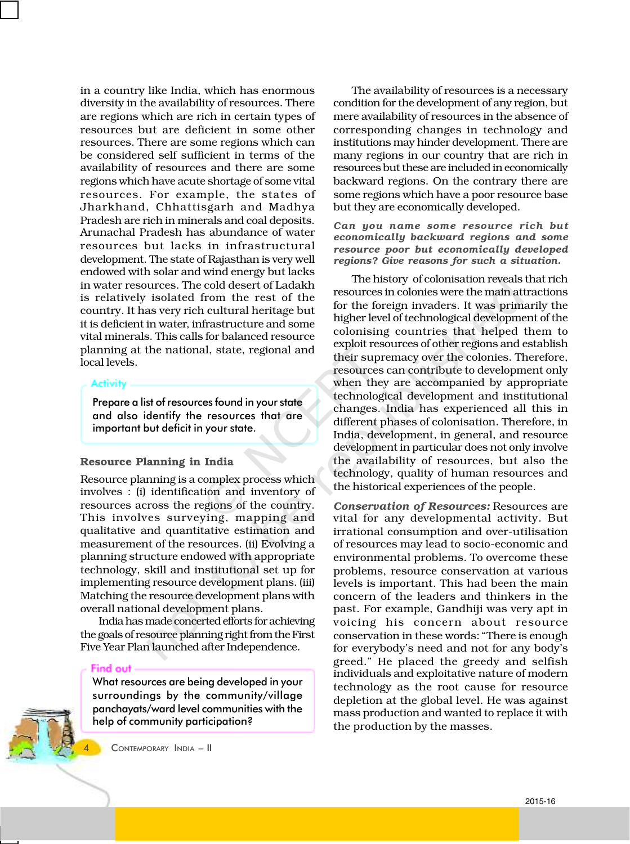in a country like India, which has enormous diversity in the availability of resources. There are regions which are rich in certain types of resources but are deficient in some other resources. There are some regions which can be considered self sufficient in terms of the availability of resources and there are some regions which have acute shortage of some vital resources. For example, the states of Jharkhand, Chhattisgarh and Madhya Pradesh are rich in minerals and coal deposits. Arunachal Pradesh has abundance of water resources but lacks in infrastructural development. The state of Rajasthan is very well endowed with solar and wind energy but lacks in water resources. The cold desert of Ladakh is relatively isolated from the rest of the country. It has very rich cultural heritage but it is deficient in water, infrastructure and some vital minerals. This calls for balanced resource planning at the national, state, regional and local levels.

#### **Activity**

Prepare a list of resources found in your state and also identify the resources that are important but deficit in your state.

## Resource Planning in India

Resource planning is a complex process which involves : (i) identification and inventory of resources across the regions of the country. This involves surveying, mapping and qualitative and quantitative estimation and measurement of the resources. (ii) Evolving a planning structure endowed with appropriate technology, skill and institutional set up for implementing resource development plans. (iii) Matching the resource development plans with overall national development plans.

India has made concerted efforts for achieving the goals of resource planning right from the First Five Year Plan launched after Independence.

#### Find out -

What resources are being developed in your surroundings by the community/village panchayats/ward level communities with the help of community participation?



CONTEMPORARY INDIA - II

The availability of resources is a necessary condition for the development of any region, but mere availability of resources in the absence of corresponding changes in technology and institutions may hinder development. There are many regions in our country that are rich in resources but these are included in economically backward regions. On the contrary there are some regions which have a poor resource base but they are economically developed.

*Can you name some resource rich but economically backward regions and some resource poor but economically developed regions? Give reasons for such a situation.*

The history of colonisation reveals that rich resources in colonies were the main attractions for the foreign invaders. It was primarily the higher level of technological development of the colonising countries that helped them to exploit resources of other regions and establish their supremacy over the colonies. Therefore, resources can contribute to development only when they are accompanied by appropriate technological development and institutional changes. India has experienced all this in different phases of colonisation. Therefore, in India, development, in general, and resource development in particular does not only involve the availability of resources, but also the technology, quality of human resources and the historical experiences of the people.

*Conservation of Resources:* Resources are vital for any developmental activity. But irrational consumption and over-utilisation of resources may lead to socio-economic and environmental problems. To overcome these problems, resource conservation at various levels is important. This had been the main concern of the leaders and thinkers in the past. For example, Gandhiji was very apt in voicing his concern about resource conservation in these words: "There is enough for everybody's need and not for any body's greed." He placed the greedy and selfish individuals and exploitative nature of modern technology as the root cause for resource depletion at the global level. He was against mass production and wanted to replace it with the production by the masses.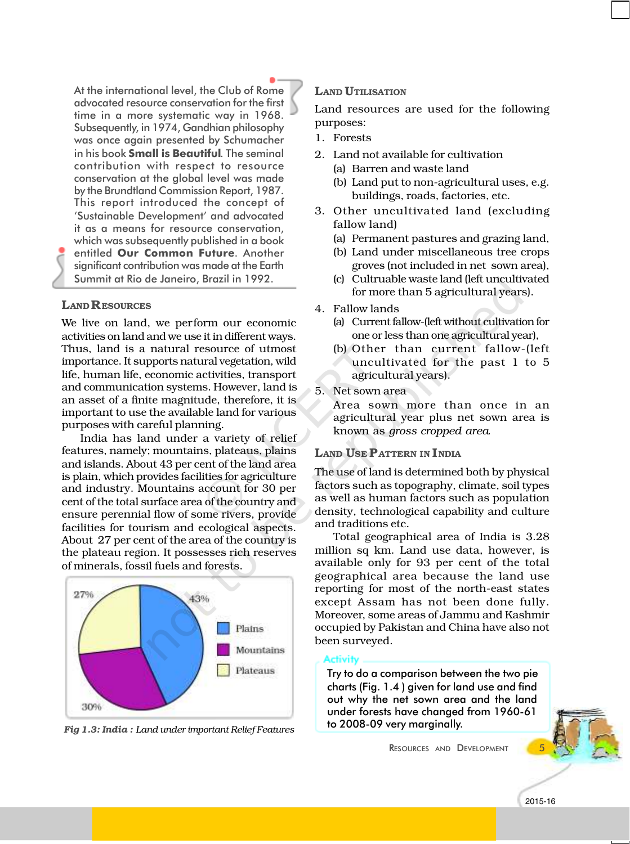At the international level, the Club of Rome advocated resource conservation for the first time in a more systematic way in 1968. Subsequently, in 1974, Gandhian philosophy was once again presented by Schumacher in his book **Small is Beautiful**. The seminal contribution with respect to resource conservation at the global level was made by the Brundtland Commission Report, 1987. This report introduced the concept of 'Sustainable Development' and advocated it as a means for resource conservation, which was subsequently published in a book entitled **Our Common Future**. Another significant contribution was made at the Earth Summit at Rio de Janeiro, Brazil in 1992.

# LAND RESOURCES

We live on land, we perform our economic activities on land and we use it in different ways. Thus, land is a natural resource of utmost importance. It supports natural vegetation, wild life, human life, economic activities, transport and communication systems. However, land is an asset of a finite magnitude, therefore, it is important to use the available land for various purposes with careful planning.

India has land under a variety of relief features, namely; mountains, plateaus, plains and islands. About 43 per cent of the land area is plain, which provides facilities for agriculture and industry. Mountains account for 30 per cent of the total surface area of the country and ensure perennial flow of some rivers, provide facilities for tourism and ecological aspects. About 27 per cent of the area of the country is the plateau region. It possesses rich reserves of minerals, fossil fuels and forests.



*Fig 1.3: India : Land under important Relief Features*

## LAND UTILISATION

Land resources are used for the following purposes:

## 1. Forests

- 2. Land not available for cultivation
	- (a) Barren and waste land
	- (b) Land put to non-agricultural uses, e.g. buildings, roads, factories, etc.
- 3. Other uncultivated land (excluding fallow land)
	- (a) Permanent pastures and grazing land,
	- (b) Land under miscellaneous tree crops groves (not included in net sown area),
	- (c) Cultruable waste land (left uncultivated for more than 5 agricultural years).
- 4. Fallow lands
	- (a) Current fallow-(left without cultivation for one or less than one agricultural year),
	- (b) Other than current fallow-(left uncultivated for the past 1 to 5 agricultural years).
- 5. Net sown area

Area sown more than once in an agricultural year plus net sown area is known as *gross cropped area*.

#### LAND USE PATTERN IN INDIA

The use of land is determined both by physical factors such as topography, climate, soil types as well as human factors such as population density, technological capability and culture and traditions etc.

Total geographical area of India is 3.28 million sq km. Land use data, however, is available only for 93 per cent of the total geographical area because the land use reporting for most of the north-east states except Assam has not been done fully. Moreover, some areas of Jammu and Kashmir occupied by Pakistan and China have also not been surveyed.

#### **Activity**

Try to do a comparison between the two pie charts (Fig. 1.4 ) given for land use and find out why the net sown area and the land under forests have changed from 1960-61 to 2008-09 very marginally.

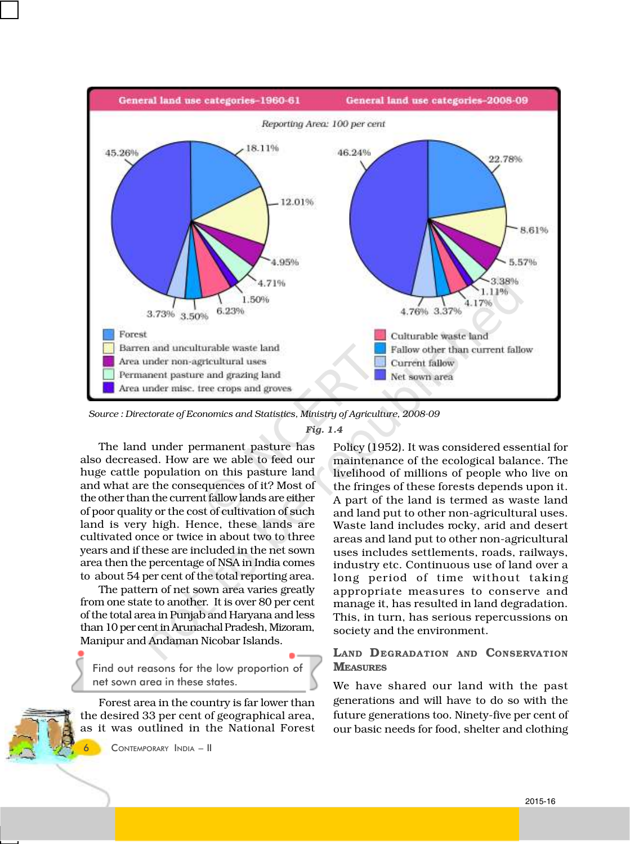

*Source : Directorate of Economics and Statistics, Ministry of Agriculture, 2008-09*

*Fig. 1.4*

The land under permanent pasture has also decreased. How are we able to feed our huge cattle population on this pasture land and what are the consequences of it? Most of the other than the current fallow lands are either of poor quality or the cost of cultivation of such land is very high. Hence, these lands are cultivated once or twice in about two to three years and if these are included in the net sown area then the percentage of NSA in India comes to about 54 per cent of the total reporting area.

The pattern of net sown area varies greatly from one state to another. It is over 80 per cent of the total area in Punjab and Haryana and less than 10 per cent in Arunachal Pradesh, Mizoram, Manipur and Andaman Nicobar Islands.

Find out reasons for the low proportion of net sown area in these states.

Forest area in the country is far lower than the desired 33 per cent of geographical area, as it was outlined in the National Forest



6 CONTEMPORARY INDIA – II

Policy (1952). It was considered essential for maintenance of the ecological balance. The livelihood of millions of people who live on the fringes of these forests depends upon it. A part of the land is termed as waste land and land put to other non-agricultural uses. Waste land includes rocky, arid and desert areas and land put to other non-agricultural uses includes settlements, roads, railways, industry etc. Continuous use of land over a long period of time without taking appropriate measures to conserve and manage it, has resulted in land degradation. This, in turn, has serious repercussions on society and the environment.

# LAND DEGRADATION AND CONSERVATION **MEASURES**

We have shared our land with the past generations and will have to do so with the future generations too. Ninety-five per cent of our basic needs for food, shelter and clothing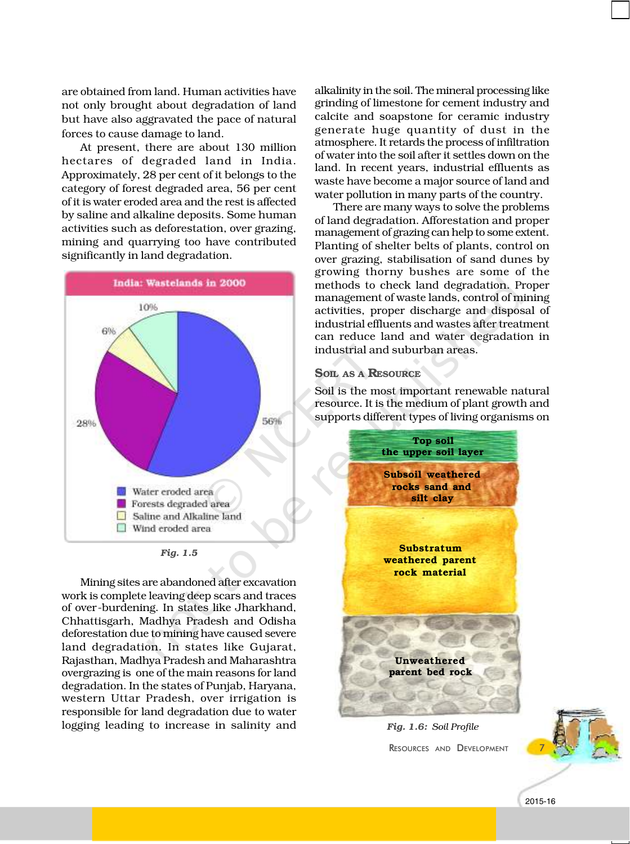are obtained from land. Human activities have not only brought about degradation of land but have also aggravated the pace of natural forces to cause damage to land.

At present, there are about 130 million hectares of degraded land in India. Approximately, 28 per cent of it belongs to the category of forest degraded area, 56 per cent of it is water eroded area and the rest is affected by saline and alkaline deposits. Some human activities such as deforestation, over grazing, mining and quarrying too have contributed significantly in land degradation.



*Fig. 1.5*

Mining sites are abandoned after excavation work is complete leaving deep scars and traces of over-burdening. In states like Jharkhand, Chhattisgarh, Madhya Pradesh and Odisha deforestation due to mining have caused severe land degradation. In states like Gujarat, Rajasthan, Madhya Pradesh and Maharashtra overgrazing is one of the main reasons for land degradation. In the states of Punjab, Haryana, western Uttar Pradesh, over irrigation is responsible for land degradation due to water logging leading to increase in salinity and *Fig. 1.6: Soil Profile*

alkalinity in the soil. The mineral processing like grinding of limestone for cement industry and calcite and soapstone for ceramic industry generate huge quantity of dust in the atmosphere. It retards the process of infiltration of water into the soil after it settles down on the land. In recent years, industrial effluents as waste have become a major source of land and water pollution in many parts of the country.

There are many ways to solve the problems of land degradation. Afforestation and proper management of grazing can help to some extent. Planting of shelter belts of plants, control on over grazing, stabilisation of sand dunes by growing thorny bushes are some of the methods to check land degradation. Proper management of waste lands, control of mining activities, proper discharge and disposal of industrial effluents and wastes after treatment can reduce land and water degradation in industrial and suburban areas.

## SOIL AS A RESOURCE

Soil is the most important renewable natural resource. It is the medium of plant growth and supports different types of living organisms on



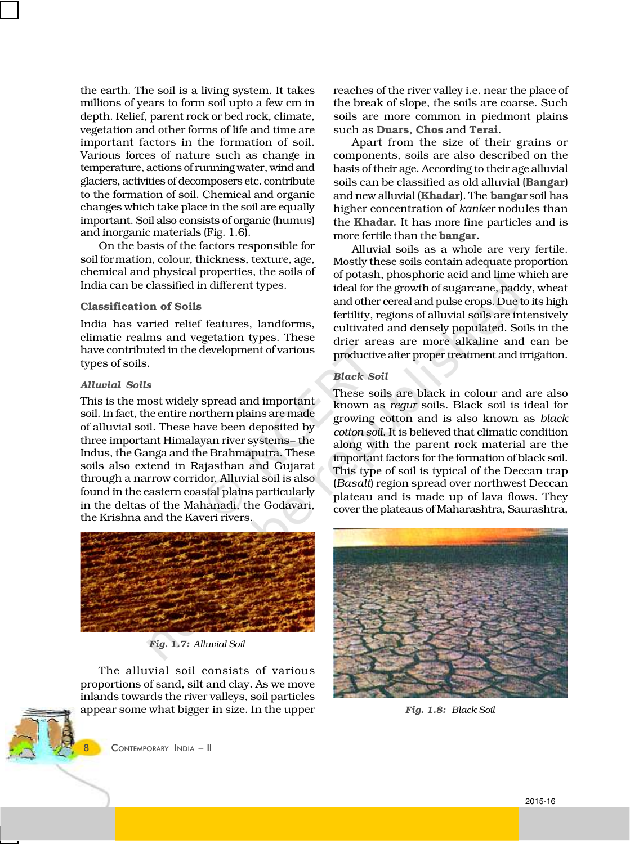the earth. The soil is a living system. It takes millions of years to form soil upto a few cm in depth. Relief, parent rock or bed rock, climate, vegetation and other forms of life and time are important factors in the formation of soil. Various forces of nature such as change in temperature, actions of running water, wind and glaciers, activities of decomposers etc. contribute to the formation of soil. Chemical and organic changes which take place in the soil are equally important. Soil also consists of organic (humus) and inorganic materials (Fig. 1.6).

On the basis of the factors responsible for soil formation, colour, thickness, texture, age, chemical and physical properties, the soils of India can be classified in different types.

## Classification of Soils

India has varied relief features, landforms, climatic realms and vegetation types. These have contributed in the development of various types of soils.

#### *Alluvial Soils*

This is the most widely spread and important soil. In fact, the entire northern plains are made of alluvial soil. These have been deposited by three important Himalayan river systems– the Indus, the Ganga and the Brahmaputra. These soils also extend in Rajasthan and Gujarat through a narrow corridor. Alluvial soil is also found in the eastern coastal plains particularly in the deltas of the Mahanadi, the Godavari, the Krishna and the Kaveri rivers.

reaches of the river valley i.e. near the place of the break of slope, the soils are coarse. Such soils are more common in piedmont plains such as **Duars**, Chos and Terai.

Apart from the size of their grains or components, soils are also described on the basis of their age. According to their age alluvial soils can be classified as old alluvial (Bangar) and new alluvial (Khadar). The bangar soil has higher concentration of *kanker* nodules than the Khadar. It has more fine particles and is more fertile than the **bangar**.

Alluvial soils as a whole are very fertile. Mostly these soils contain adequate proportion of potash, phosphoric acid and lime which are ideal for the growth of sugarcane, paddy, wheat and other cereal and pulse crops. Due to its high fertility, regions of alluvial soils are intensively cultivated and densely populated. Soils in the drier areas are more alkaline and can be productive after proper treatment and irrigation.

## *Black Soil*

These soils are black in colour and are also known as *regur* soils. Black soil is ideal for growing cotton and is also known as *black cotton soil*. It is believed that climatic condition along with the parent rock material are the important factors for the formation of black soil. This type of soil is typical of the Deccan trap (*Basalt*) region spread over northwest Deccan plateau and is made up of lava flows. They cover the plateaus of Maharashtra, Saurashtra,



*Fig. 1.7: Alluvial Soil*

The alluvial soil consists of various proportions of sand, silt and clay. As we move inlands towards the river valleys, soil particles appear some what bigger in size. In the upper



*Fig. 1.8: Black Soil*



CONTEMPORARY INDIA - II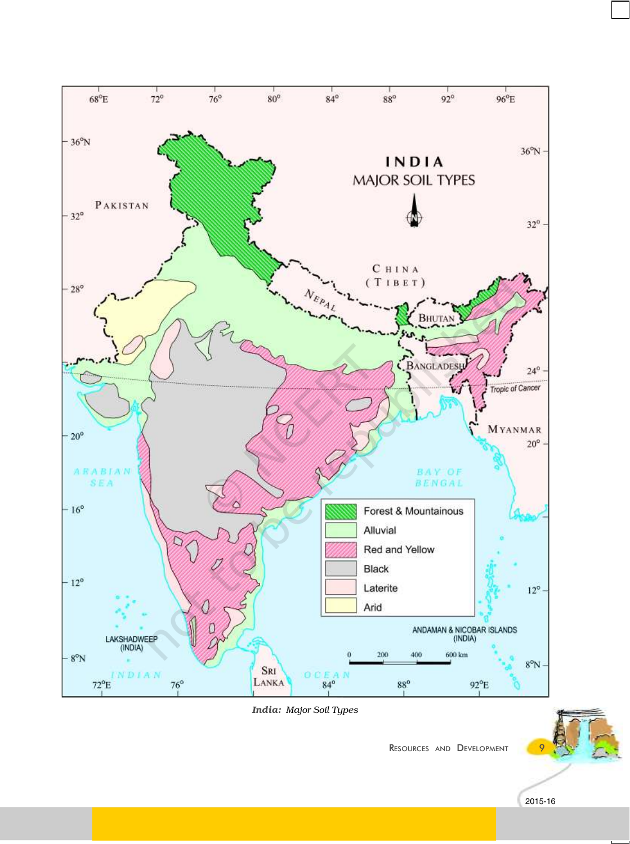

*India: Major Soil Types*

RESOURCES AND DEVELOPMENT 8



2015-16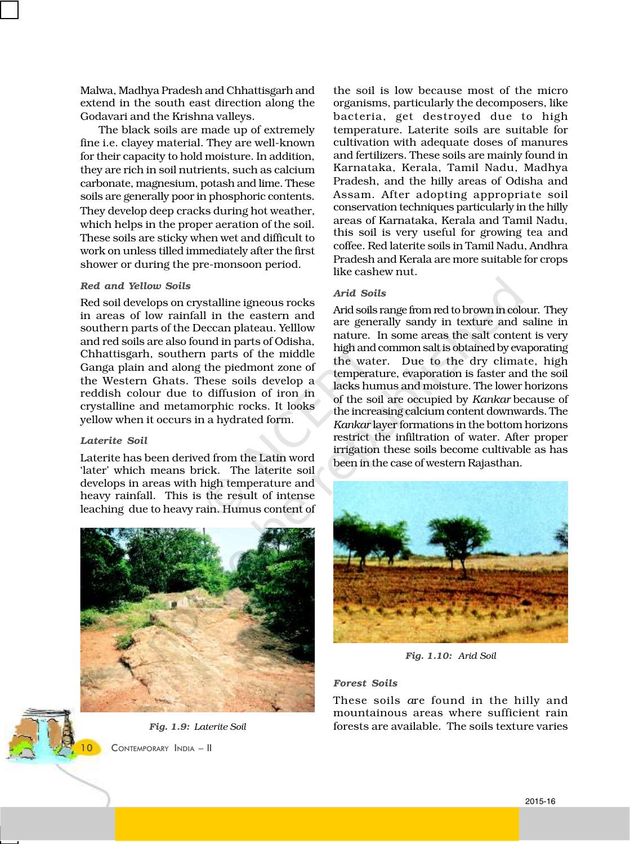Malwa, Madhya Pradesh and Chhattisgarh and extend in the south east direction along the Godavari and the Krishna valleys.

The black soils are made up of extremely fine i.e. clayey material. They are well-known for their capacity to hold moisture. In addition, they are rich in soil nutrients, such as calcium carbonate, magnesium, potash and lime. These soils are generally poor in phosphoric contents. They develop deep cracks during hot weather, which helps in the proper aeration of the soil. These soils are sticky when wet and difficult to work on unless tilled immediately after the first shower or during the pre-monsoon period.

## *Red and Yellow Soils*

Red soil develops on crystalline igneous rocks in areas of low rainfall in the eastern and southern parts of the Deccan plateau. Yelllow and red soils are also found in parts of Odisha, Chhattisgarh, southern parts of the middle Ganga plain and along the piedmont zone of the Western Ghats. These soils develop a reddish colour due to diffusion of iron in crystalline and metamorphic rocks. It looks yellow when it occurs in a hydrated form.

#### *Laterite Soil*

Laterite has been derived from the Latin word 'later' which means brick. The laterite soil develops in areas with high temperature and heavy rainfall. This is the result of intense leaching due to heavy rain. Humus content of





*Fig. 1.9: Laterite Soil*

CONTEMPORARY INDIA - II

the soil is low because most of the micro organisms, particularly the decomposers, like bacteria, get destroyed due to high temperature. Laterite soils are suitable for cultivation with adequate doses of manures and fertilizers. These soils are mainly found in Karnataka, Kerala, Tamil Nadu, Madhya Pradesh, and the hilly areas of Odisha and Assam. After adopting appropriate soil conservation techniques particularly in the hilly areas of Karnataka, Kerala and Tamil Nadu, this soil is very useful for growing tea and coffee. Red laterite soils in Tamil Nadu, Andhra Pradesh and Kerala are more suitable for crops like cashew nut.

#### *Arid Soils*

Arid soils range from red to brown in colour. They are generally sandy in texture and saline in nature. In some areas the salt content is very high and common salt is obtained by evaporating the water. Due to the dry climate, high temperature, evaporation is faster and the soil lacks humus and moisture. The lower horizons of the soil are occupied by *Kankar* because of the increasing calcium content downwards. The *Kankar* layer formations in the bottom horizons restrict the infiltration of water. After proper irrigation these soils become cultivable as has been in the case of western Rajasthan.



*Fig. 1.10: Arid Soil*

## *Forest Soils*

These soils *a*re found in the hilly and mountainous areas where sufficient rain forests are available. The soils texture varies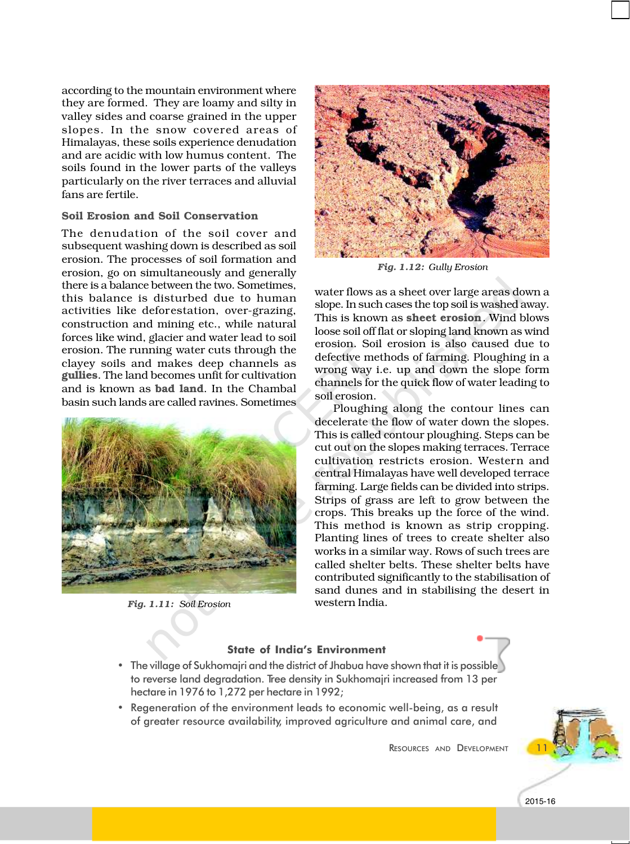according to the mountain environment where they are formed. They are loamy and silty in valley sides and coarse grained in the upper slopes. In the snow covered areas of Himalayas, these soils experience denudation and are acidic with low humus content. The soils found in the lower parts of the valleys particularly on the river terraces and alluvial fans are fertile.

# Soil Erosion and Soil Conservation

The denudation of the soil cover and subsequent washing down is described as soil erosion. The processes of soil formation and erosion, go on simultaneously and generally there is a balance between the two. Sometimes, this balance is disturbed due to human activities like deforestation, over-grazing, construction and mining etc., while natural forces like wind, glacier and water lead to soil erosion. The running water cuts through the clayey soils and makes deep channels as gullies. The land becomes unfit for cultivation and is known as bad land. In the Chambal basin such lands are called ravines. Sometimes



*Fig. 1.11: Soil Erosion*



*Fig. 1.12: Gully Erosion*

water flows as a sheet over large areas down a slope. In such cases the top soil is washed away. This is known as **sheet erosion**. Wind blows loose soil off flat or sloping land known as wind erosion. Soil erosion is also caused due to defective methods of farming. Ploughing in a wrong way i.e. up and down the slope form channels for the quick flow of water leading to soil erosion.

Ploughing along the contour lines can decelerate the flow of water down the slopes. This is called contour ploughing. Steps can be cut out on the slopes making terraces. Terrace cultivation restricts erosion. Western and central Himalayas have well developed terrace farming. Large fields can be divided into strips. Strips of grass are left to grow between the crops. This breaks up the force of the wind. This method is known as strip cropping. Planting lines of trees to create shelter also works in a similar way. Rows of such trees are called shelter belts. These shelter belts have contributed significantly to the stabilisation of sand dunes and in stabilising the desert in western India.

# **State of India's Environment**

- The village of Sukhomajri and the district of Jhabua have shown that it is possible to reverse land degradation. Tree density in Sukhomajri increased from 13 per hectare in 1976 to 1,272 per hectare in 1992;
- Regeneration of the environment leads to economic well-being, as a result of greater resource availability, improved agriculture and animal care, and

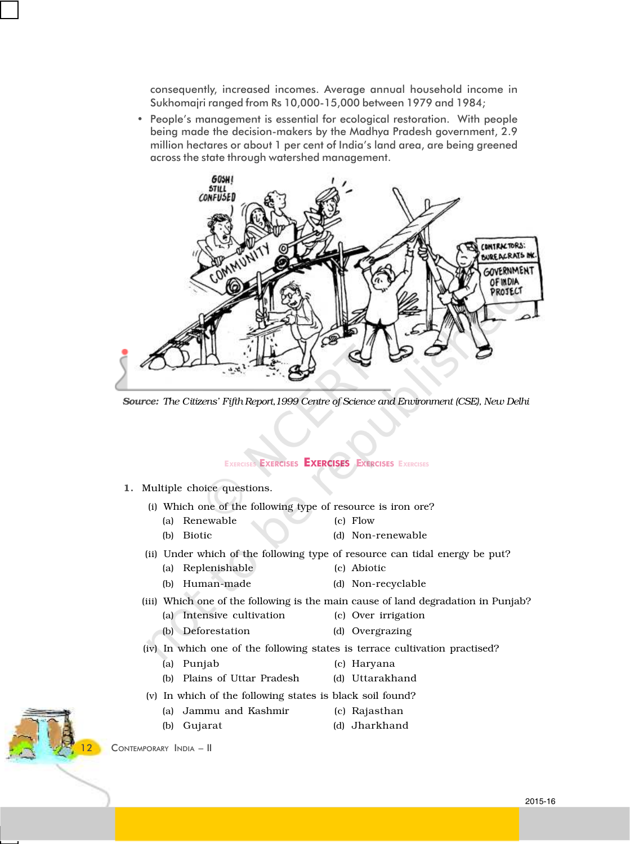consequently, increased incomes. Average annual household income in Sukhomajri ranged from Rs 10,000-15,000 between 1979 and 1984;

• People's management is essential for ecological restoration. With people being made the decision-makers by the Madhya Pradesh government, 2.9 million hectares or about 1 per cent of India's land area, are being greened across the state through watershed management.



*Source: The Citizens' Fifth Report,1999 Centre of Science and Environment (CSE), New Delhi*

## **<sup>E</sup>XERCISES EXERCISES EXERCISES EXERCISES <sup>E</sup>XERCISES**

- 1. Multiple choice questions.
	- (i) Which one of the following type of resource is iron ore?
		- (a) Renewable (c) Flow
		- (b) Biotic (d) Non-renewable
	- (ii) Under which of the following type of resource can tidal energy be put?
		- (a) Replenishable (c) Abiotic
		- (b) Human-made (d) Non-recyclable
	- (iii) Which one of the following is the main cause of land degradation in Punjab?
		- (a) Intensive cultivation (c) Over irrigation
			-
		- (b) Deforestation (d) Overgrazing
	- (iv) In which one of the following states is terrace cultivation practised?
		- (a) Punjab (c) Haryana
		- (b) Plains of Uttar Pradesh (d) Uttarakhand
	- (v) In which of the following states is black soil found?
		- (a) Jammu and Kashmir (c) Rajasthan
		- (b) Gujarat (d) Jharkhand



- 
- 
- 
-